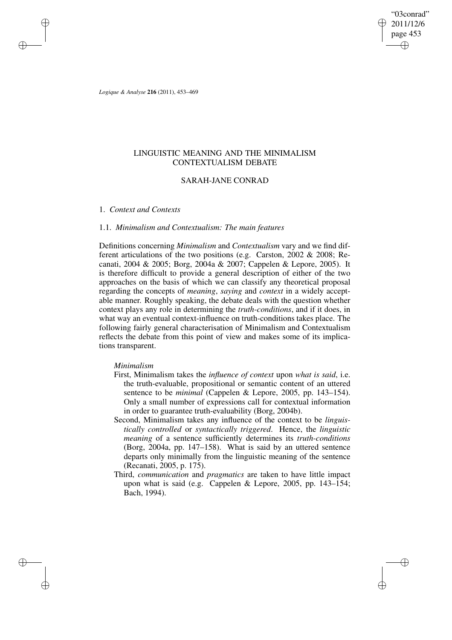"03conrad" 2011/12/6 page 453 ✐ ✐

✐

✐

*Logique & Analyse* **216** (2011), 453–469

✐

✐

✐

✐

# LINGUISTIC MEANING AND THE MINIMALISM CONTEXTUALISM DEBATE

# SARAH-JANE CONRAD

## 1. *Context and Contexts*

# 1.1. *Minimalism and Contextualism: The main features*

Definitions concerning *Minimalism* and *Contextualism* vary and we find different articulations of the two positions (e.g. Carston, 2002 & 2008; Recanati, 2004 & 2005; Borg, 2004a & 2007; Cappelen & Lepore, 2005). It is therefore difficult to provide a general description of either of the two approaches on the basis of which we can classify any theoretical proposal regarding the concepts of *meaning*, *saying* and *context* in a widely acceptable manner. Roughly speaking, the debate deals with the question whether context plays any role in determining the *truth-conditions*, and if it does, in what way an eventual context-influence on truth-conditions takes place. The following fairly general characterisation of Minimalism and Contextualism reflects the debate from this point of view and makes some of its implications transparent.

## *Minimalism*

- First, Minimalism takes the *influence of context* upon *what is said*, i.e. the truth-evaluable, propositional or semantic content of an uttered sentence to be *minimal* (Cappelen & Lepore, 2005, pp. 143–154). Only a small number of expressions call for contextual information in order to guarantee truth-evaluability (Borg, 2004b).
- Second, Minimalism takes any influence of the context to be *linguistically controlled* or *syntactically triggered*. Hence, the *linguistic meaning* of a sentence sufficiently determines its *truth-conditions* (Borg, 2004a, pp. 147–158). What is said by an uttered sentence departs only minimally from the linguistic meaning of the sentence (Recanati, 2005, p. 175).
- Third, *communication* and *pragmatics* are taken to have little impact upon what is said (e.g. Cappelen & Lepore, 2005, pp. 143–154; Bach, 1994).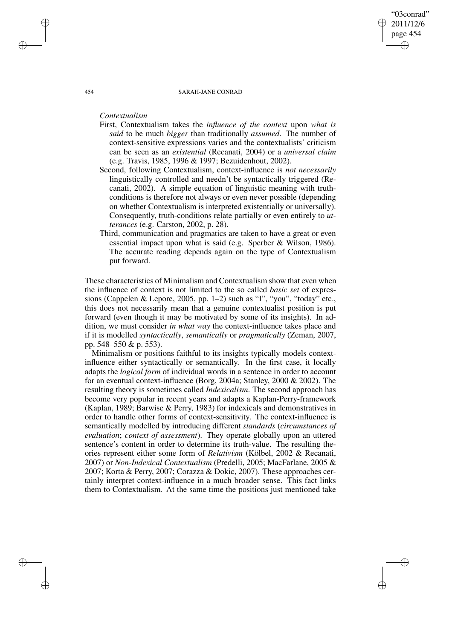#### 454 SARAH-JANE CONRAD

"03conrad" 2011/12/6 page 454

✐

✐

✐

✐

*Contextualism*

- First, Contextualism takes the *influence of the context* upon *what is said* to be much *bigger* than traditionally *assumed*. The number of context-sensitive expressions varies and the contextualists' criticism can be seen as an *existential* (Recanati, 2004) or a *universal claim* (e.g. Travis, 1985, 1996 & 1997; Bezuidenhout, 2002).
- Second, following Contextualism, context-influence is *not necessarily* linguistically controlled and needn't be syntactically triggered (Recanati, 2002). A simple equation of linguistic meaning with truthconditions is therefore not always or even never possible (depending on whether Contextualism is interpreted existentially or universally). Consequently, truth-conditions relate partially or even entirely to *utterances* (e.g. Carston, 2002, p. 28).
- Third, communication and pragmatics are taken to have a great or even essential impact upon what is said (e.g. Sperber & Wilson, 1986). The accurate reading depends again on the type of Contextualism put forward.

These characteristics of Minimalism and Contextualism show that even when the influence of context is not limited to the so called *basic set* of expressions (Cappelen & Lepore, 2005, pp. 1–2) such as "I", "you", "today" etc., this does not necessarily mean that a genuine contextualist position is put forward (even though it may be motivated by some of its insights). In addition, we must consider *in what way* the context-influence takes place and if it is modelled *syntactically*, *semantically* or *pragmatically* (Zeman, 2007, pp. 548–550 & p. 553).

Minimalism or positions faithful to its insights typically models contextinfluence either syntactically or semantically. In the first case, it locally adapts the *logical form* of individual words in a sentence in order to account for an eventual context-influence (Borg, 2004a; Stanley, 2000 & 2002). The resulting theory is sometimes called *Indexicalism*. The second approach has become very popular in recent years and adapts a Kaplan-Perry-framework (Kaplan, 1989; Barwise & Perry, 1983) for indexicals and demonstratives in order to handle other forms of context-sensitivity. The context-influence is semantically modelled by introducing different *standards* (*circumstances of evaluation*; *context of assessment*). They operate globally upon an uttered sentence's content in order to determine its truth-value. The resulting theories represent either some form of *Relativism* (Kölbel, 2002 & Recanati, 2007) or *Non-Indexical Contextualism* (Predelli, 2005; MacFarlane, 2005 & 2007; Korta & Perry, 2007; Corazza & Dokic, 2007). These approaches certainly interpret context-influence in a much broader sense. This fact links them to Contextualism. At the same time the positions just mentioned take

✐

✐

✐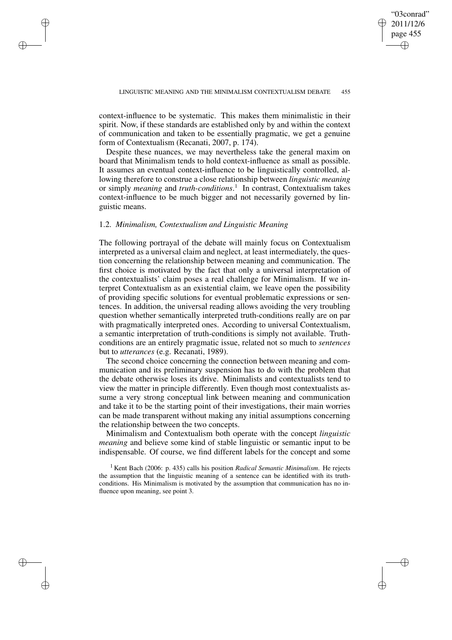context-influence to be systematic. This makes them minimalistic in their spirit. Now, if these standards are established only by and within the context of communication and taken to be essentially pragmatic, we get a genuine form of Contextualism (Recanati, 2007, p. 174).

Despite these nuances, we may nevertheless take the general maxim on board that Minimalism tends to hold context-influence as small as possible. It assumes an eventual context-influence to be linguistically controlled, allowing therefore to construe a close relationship between *linguistic meaning* or simply *meaning* and *truth-conditions*. 1 In contrast, Contextualism takes context-influence to be much bigger and not necessarily governed by linguistic means.

## 1.2. *Minimalism, Contextualism and Linguistic Meaning*

✐

✐

✐

✐

The following portrayal of the debate will mainly focus on Contextualism interpreted as a universal claim and neglect, at least intermediately, the question concerning the relationship between meaning and communication. The first choice is motivated by the fact that only a universal interpretation of the contextualists' claim poses a real challenge for Minimalism. If we interpret Contextualism as an existential claim, we leave open the possibility of providing specific solutions for eventual problematic expressions or sentences. In addition, the universal reading allows avoiding the very troubling question whether semantically interpreted truth-conditions really are on par with pragmatically interpreted ones. According to universal Contextualism, a semantic interpretation of truth-conditions is simply not available. Truthconditions are an entirely pragmatic issue, related not so much to *sentences* but to *utterances* (e.g. Recanati, 1989).

The second choice concerning the connection between meaning and communication and its preliminary suspension has to do with the problem that the debate otherwise loses its drive. Minimalists and contextualists tend to view the matter in principle differently. Even though most contextualists assume a very strong conceptual link between meaning and communication and take it to be the starting point of their investigations, their main worries can be made transparent without making any initial assumptions concerning the relationship between the two concepts.

Minimalism and Contextualism both operate with the concept *linguistic meaning* and believe some kind of stable linguistic or semantic input to be indispensable. Of course, we find different labels for the concept and some

<sup>1</sup> Kent Bach (2006: p. 435) calls his position *Radical Semantic Minimalism*. He rejects the assumption that the linguistic meaning of a sentence can be identified with its truthconditions. His Minimalism is motivated by the assumption that communication has no influence upon meaning, see point 3.

"03conrad" 2011/12/6 page 455

✐

✐

✐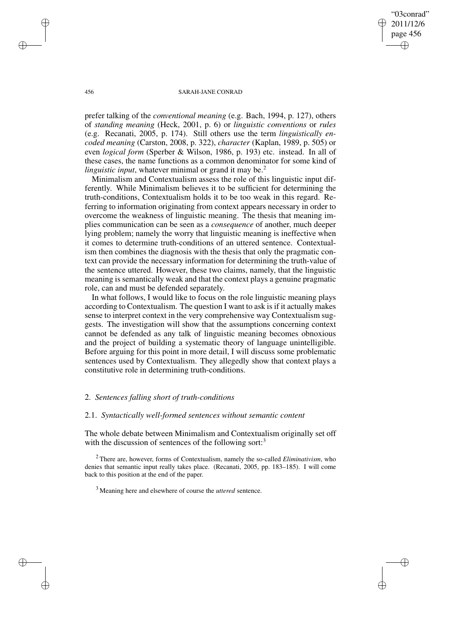"03conrad" 2011/12/6 page 456 ✐ ✐

✐

✐

### 456 SARAH-JANE CONRAD

prefer talking of the *conventional meaning* (e.g. Bach, 1994, p. 127), others of *standing meaning* (Heck, 2001, p. 6) or *linguistic conventions* or *rules* (e.g. Recanati, 2005, p. 174). Still others use the term *linguistically encoded meaning* (Carston, 2008, p. 322), *character* (Kaplan, 1989, p. 505) or even *logical form* (Sperber & Wilson, 1986, p. 193) etc. instead. In all of these cases, the name functions as a common denominator for some kind of *linguistic input*, whatever minimal or grand it may be.<sup>2</sup>

Minimalism and Contextualism assess the role of this linguistic input differently. While Minimalism believes it to be sufficient for determining the truth-conditions, Contextualism holds it to be too weak in this regard. Referring to information originating from context appears necessary in order to overcome the weakness of linguistic meaning. The thesis that meaning implies communication can be seen as a *consequence* of another, much deeper lying problem; namely the worry that linguistic meaning is ineffective when it comes to determine truth-conditions of an uttered sentence. Contextualism then combines the diagnosis with the thesis that only the pragmatic context can provide the necessary information for determining the truth-value of the sentence uttered. However, these two claims, namely, that the linguistic meaning is semantically weak and that the context plays a genuine pragmatic role, can and must be defended separately.

In what follows, I would like to focus on the role linguistic meaning plays according to Contextualism. The question I want to ask is if it actually makes sense to interpret context in the very comprehensive way Contextualism suggests. The investigation will show that the assumptions concerning context cannot be defended as any talk of linguistic meaning becomes obnoxious and the project of building a systematic theory of language unintelligible. Before arguing for this point in more detail, I will discuss some problematic sentences used by Contextualism. They allegedly show that context plays a constitutive role in determining truth-conditions.

# 2. *Sentences falling short of truth-conditions*

## 2.1. *Syntactically well-formed sentences without semantic content*

The whole debate between Minimalism and Contextualism originally set off with the discussion of sentences of the following sort:<sup>3</sup>

<sup>2</sup> There are, however, forms of Contextualism, namely the so-called *Eliminativism*, who denies that semantic input really takes place. (Recanati, 2005, pp. 183–185). I will come back to this position at the end of the paper.

✐

✐

✐

<sup>3</sup> Meaning here and elsewhere of course the *uttered* sentence.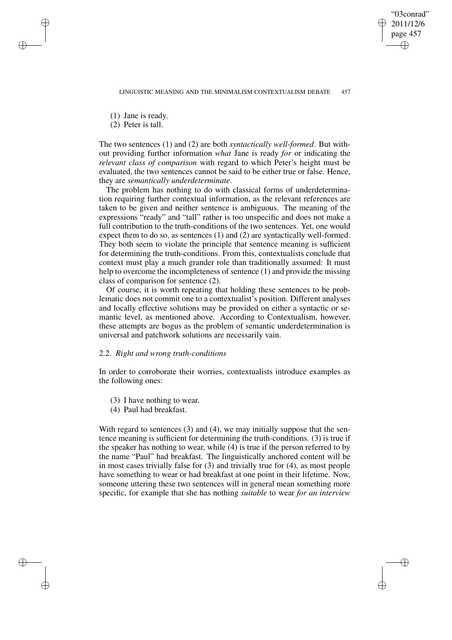LINGUISTIC MEANING AND THE MINIMALISM CONTEXTUALISM DEBATE 457

"03conrad" 2011/12/6 page 457

✐

✐

✐

✐

(1) Jane is ready.

✐

✐

✐

✐

(2) Peter is tall.

The two sentences (1) and (2) are both *syntactically well-formed*. But without providing further information *what* Jane is ready *for* or indicating the *relevant class of comparison* with regard to which Peter's height must be evaluated, the two sentences cannot be said to be either true or false. Hence, they are *semantically underdeterminate*.

The problem has nothing to do with classical forms of underdetermination requiring further contextual information, as the relevant references are taken to be given and neither sentence is ambiguous. The meaning of the expressions "ready" and "tall" rather is too unspecific and does not make a full contribution to the truth-conditions of the two sentences. Yet, one would expect them to do so, as sentences (1) and (2) are syntactically well-formed. They both seem to violate the principle that sentence meaning is sufficient for determining the truth-conditions. From this, contextualists conclude that context must play a much grander role than traditionally assumed: It must help to overcome the incompleteness of sentence (1) and provide the missing class of comparison for sentence (2).

Of course, it is worth repeating that holding these sentences to be problematic does not commit one to a contextualist's position. Different analyses and locally effective solutions may be provided on either a syntactic or semantic level, as mentioned above. According to Contextualism, however, these attempts are bogus as the problem of semantic underdetermination is universal and patchwork solutions are necessarily vain.

## 2.2. *Right and wrong truth-conditions*

In order to corroborate their worries, contextualists introduce examples as the following ones:

- (3) I have nothing to wear.
- (4) Paul had breakfast.

With regard to sentences (3) and (4), we may initially suppose that the sentence meaning is sufficient for determining the truth-conditions. (3) is true if the speaker has nothing to wear, while (4) is true if the person referred to by the name "Paul" had breakfast. The linguistically anchored content will be in most cases trivially false for (3) and trivially true for (4), as most people have something to wear or had breakfast at one point in their lifetime. Now, someone uttering these two sentences will in general mean something more specific, for example that she has nothing *suitable* to wear *for an interview*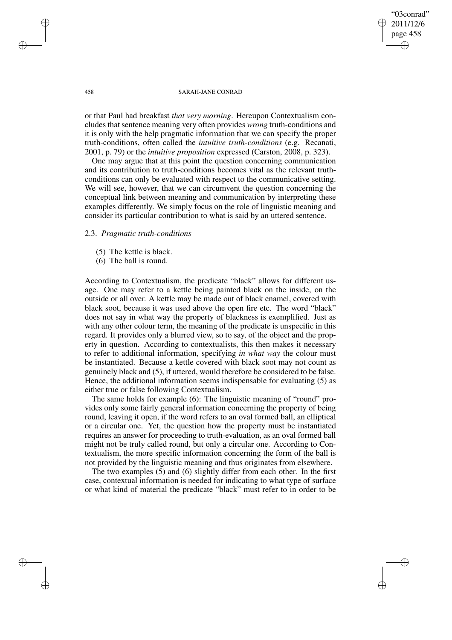"03conrad" 2011/12/6 page 458 ✐ ✐

✐

✐

### 458 SARAH-JANE CONRAD

or that Paul had breakfast *that very morning*. Hereupon Contextualism concludes that sentence meaning very often provides *wrong* truth-conditions and it is only with the help pragmatic information that we can specify the proper truth-conditions, often called the *intuitive truth-conditions* (e.g. Recanati, 2001, p. 79) or the *intuitive proposition* expressed (Carston, 2008, p. 323).

One may argue that at this point the question concerning communication and its contribution to truth-conditions becomes vital as the relevant truthconditions can only be evaluated with respect to the communicative setting. We will see, however, that we can circumvent the question concerning the conceptual link between meaning and communication by interpreting these examples differently. We simply focus on the role of linguistic meaning and consider its particular contribution to what is said by an uttered sentence.

### 2.3. *Pragmatic truth-conditions*

- (5) The kettle is black.
- (6) The ball is round.

According to Contextualism, the predicate "black" allows for different usage. One may refer to a kettle being painted black on the inside, on the outside or all over. A kettle may be made out of black enamel, covered with black soot, because it was used above the open fire etc. The word "black" does not say in what way the property of blackness is exemplified. Just as with any other colour term, the meaning of the predicate is unspecific in this regard. It provides only a blurred view, so to say, of the object and the property in question. According to contextualists, this then makes it necessary to refer to additional information, specifying *in what way* the colour must be instantiated. Because a kettle covered with black soot may not count as genuinely black and (5), if uttered, would therefore be considered to be false. Hence, the additional information seems indispensable for evaluating (5) as either true or false following Contextualism.

The same holds for example (6): The linguistic meaning of "round" provides only some fairly general information concerning the property of being round, leaving it open, if the word refers to an oval formed ball, an elliptical or a circular one. Yet, the question how the property must be instantiated requires an answer for proceeding to truth-evaluation, as an oval formed ball might not be truly called round, but only a circular one. According to Contextualism, the more specific information concerning the form of the ball is not provided by the linguistic meaning and thus originates from elsewhere.

The two examples (5) and (6) slightly differ from each other. In the first case, contextual information is needed for indicating to what type of surface or what kind of material the predicate "black" must refer to in order to be

✐

✐

✐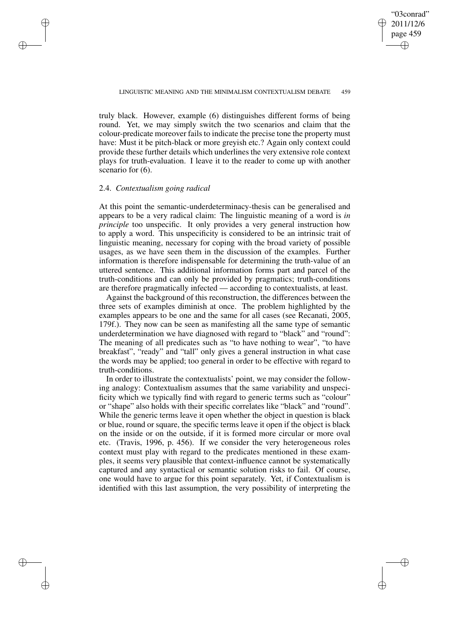✐

truly black. However, example (6) distinguishes different forms of being round. Yet, we may simply switch the two scenarios and claim that the colour-predicate moreover fails to indicate the precise tone the property must have: Must it be pitch-black or more greyish etc.? Again only context could provide these further details which underlines the very extensive role context plays for truth-evaluation. I leave it to the reader to come up with another scenario for  $(6)$ .

## 2.4. *Contextualism going radical*

✐

✐

✐

✐

At this point the semantic-underdeterminacy-thesis can be generalised and appears to be a very radical claim: The linguistic meaning of a word is *in principle* too unspecific. It only provides a very general instruction how to apply a word. This unspecificity is considered to be an intrinsic trait of linguistic meaning, necessary for coping with the broad variety of possible usages, as we have seen them in the discussion of the examples. Further information is therefore indispensable for determining the truth-value of an uttered sentence. This additional information forms part and parcel of the truth-conditions and can only be provided by pragmatics; truth-conditions are therefore pragmatically infected — according to contextualists, at least.

Against the background of this reconstruction, the differences between the three sets of examples diminish at once. The problem highlighted by the examples appears to be one and the same for all cases (see Recanati, 2005, 179f.). They now can be seen as manifesting all the same type of semantic underdetermination we have diagnosed with regard to "black" and "round": The meaning of all predicates such as "to have nothing to wear", "to have breakfast", "ready" and "tall" only gives a general instruction in what case the words may be applied; too general in order to be effective with regard to truth-conditions.

In order to illustrate the contextualists' point, we may consider the following analogy: Contextualism assumes that the same variability and unspecificity which we typically find with regard to generic terms such as "colour" or "shape" also holds with their specific correlates like "black" and "round". While the generic terms leave it open whether the object in question is black or blue, round or square, the specific terms leave it open if the object is black on the inside or on the outside, if it is formed more circular or more oval etc. (Travis, 1996, p. 456). If we consider the very heterogeneous roles context must play with regard to the predicates mentioned in these examples, it seems very plausible that context-influence cannot be systematically captured and any syntactical or semantic solution risks to fail. Of course, one would have to argue for this point separately. Yet, if Contextualism is identified with this last assumption, the very possibility of interpreting the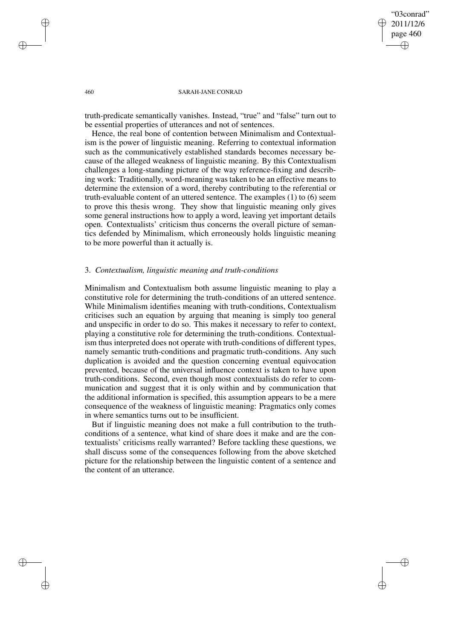## "03conrad" 2011/12/6 page 460 ✐ ✐

✐

✐

#### 460 SARAH-JANE CONRAD

truth-predicate semantically vanishes. Instead, "true" and "false" turn out to be essential properties of utterances and not of sentences.

Hence, the real bone of contention between Minimalism and Contextualism is the power of linguistic meaning. Referring to contextual information such as the communicatively established standards becomes necessary because of the alleged weakness of linguistic meaning. By this Contextualism challenges a long-standing picture of the way reference-fixing and describing work: Traditionally, word-meaning was taken to be an effective means to determine the extension of a word, thereby contributing to the referential or truth-evaluable content of an uttered sentence. The examples (1) to (6) seem to prove this thesis wrong. They show that linguistic meaning only gives some general instructions how to apply a word, leaving yet important details open. Contextualists' criticism thus concerns the overall picture of semantics defended by Minimalism, which erroneously holds linguistic meaning to be more powerful than it actually is.

### 3. *Contextualism, linguistic meaning and truth-conditions*

Minimalism and Contextualism both assume linguistic meaning to play a constitutive role for determining the truth-conditions of an uttered sentence. While Minimalism identifies meaning with truth-conditions, Contextualism criticises such an equation by arguing that meaning is simply too general and unspecific in order to do so. This makes it necessary to refer to context, playing a constitutive role for determining the truth-conditions. Contextualism thus interpreted does not operate with truth-conditions of different types, namely semantic truth-conditions and pragmatic truth-conditions. Any such duplication is avoided and the question concerning eventual equivocation prevented, because of the universal influence context is taken to have upon truth-conditions. Second, even though most contextualists do refer to communication and suggest that it is only within and by communication that the additional information is specified, this assumption appears to be a mere consequence of the weakness of linguistic meaning: Pragmatics only comes in where semantics turns out to be insufficient.

But if linguistic meaning does not make a full contribution to the truthconditions of a sentence, what kind of share does it make and are the contextualists' criticisms really warranted? Before tackling these questions, we shall discuss some of the consequences following from the above sketched picture for the relationship between the linguistic content of a sentence and the content of an utterance.

✐

✐

✐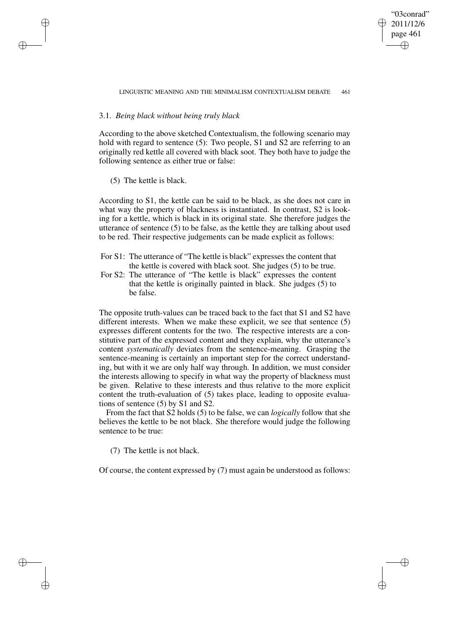✐

# 3.1. *Being black without being truly black*

According to the above sketched Contextualism, the following scenario may hold with regard to sentence (5): Two people, S1 and S2 are referring to an originally red kettle all covered with black soot. They both have to judge the following sentence as either true or false:

(5) The kettle is black.

✐

✐

✐

✐

According to S1, the kettle can be said to be black, as she does not care in what way the property of blackness is instantiated. In contrast, S2 is looking for a kettle, which is black in its original state. She therefore judges the utterance of sentence (5) to be false, as the kettle they are talking about used to be red. Their respective judgements can be made explicit as follows:

- For S1: The utterance of "The kettle is black" expresses the content that the kettle is covered with black soot. She judges (5) to be true.
- For S2: The utterance of "The kettle is black" expresses the content that the kettle is originally painted in black. She judges (5) to be false.

The opposite truth-values can be traced back to the fact that S1 and S2 have different interests. When we make these explicit, we see that sentence (5) expresses different contents for the two. The respective interests are a constitutive part of the expressed content and they explain, why the utterance's content *systematically* deviates from the sentence-meaning. Grasping the sentence-meaning is certainly an important step for the correct understanding, but with it we are only half way through. In addition, we must consider the interests allowing to specify in what way the property of blackness must be given. Relative to these interests and thus relative to the more explicit content the truth-evaluation of (5) takes place, leading to opposite evaluations of sentence (5) by S1 and S2.

From the fact that S2 holds (5) to be false, we can *logically* follow that she believes the kettle to be not black. She therefore would judge the following sentence to be true:

(7) The kettle is not black.

Of course, the content expressed by (7) must again be understood as follows: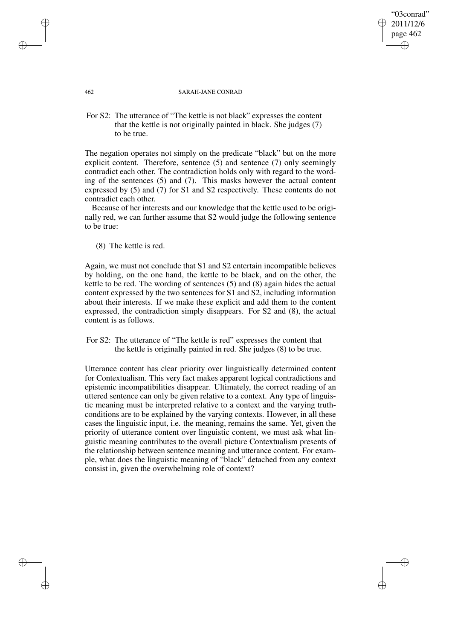# 2011/12/6 page 462 ✐ ✐

✐

✐

"03conrad"

#### 462 SARAH-JANE CONRAD

For S2: The utterance of "The kettle is not black" expresses the content that the kettle is not originally painted in black. She judges (7) to be true.

The negation operates not simply on the predicate "black" but on the more explicit content. Therefore, sentence (5) and sentence (7) only seemingly contradict each other. The contradiction holds only with regard to the wording of the sentences (5) and (7). This masks however the actual content expressed by (5) and (7) for S1 and S2 respectively. These contents do not contradict each other.

Because of her interests and our knowledge that the kettle used to be originally red, we can further assume that S2 would judge the following sentence to be true:

(8) The kettle is red.

Again, we must not conclude that S1 and S2 entertain incompatible believes by holding, on the one hand, the kettle to be black, and on the other, the kettle to be red. The wording of sentences (5) and (8) again hides the actual content expressed by the two sentences for S1 and S2, including information about their interests. If we make these explicit and add them to the content expressed, the contradiction simply disappears. For S2 and (8), the actual content is as follows.

For S2: The utterance of "The kettle is red" expresses the content that the kettle is originally painted in red. She judges (8) to be true.

Utterance content has clear priority over linguistically determined content for Contextualism. This very fact makes apparent logical contradictions and epistemic incompatibilities disappear. Ultimately, the correct reading of an uttered sentence can only be given relative to a context. Any type of linguistic meaning must be interpreted relative to a context and the varying truthconditions are to be explained by the varying contexts. However, in all these cases the linguistic input, i.e. the meaning, remains the same. Yet, given the priority of utterance content over linguistic content, we must ask what linguistic meaning contributes to the overall picture Contextualism presents of the relationship between sentence meaning and utterance content. For example, what does the linguistic meaning of "black" detached from any context consist in, given the overwhelming role of context?

✐

✐

✐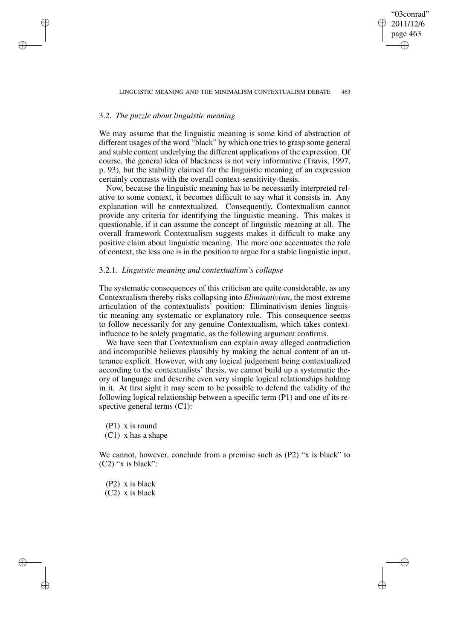"03conrad" 2011/12/6 page 463

✐

✐

✐

✐

### 3.2. *The puzzle about linguistic meaning*

✐

✐

✐

✐

We may assume that the linguistic meaning is some kind of abstraction of different usages of the word "black" by which one triesto grasp some general and stable content underlying the different applications of the expression. Of course, the general idea of blackness is not very informative (Travis, 1997, p. 93), but the stability claimed for the linguistic meaning of an expression certainly contrasts with the overall context-sensitivity-thesis.

Now, because the linguistic meaning has to be necessarily interpreted relative to some context, it becomes difficult to say what it consists in. Any explanation will be contextualized. Consequently, Contextualism cannot provide any criteria for identifying the linguistic meaning. This makes it questionable, if it can assume the concept of linguistic meaning at all. The overall framework Contextualism suggests makes it difficult to make any positive claim about linguistic meaning. The more one accentuates the role of context, the less one is in the position to argue for a stable linguistic input.

## 3.2.1. *Linguistic meaning and contextualism's collapse*

The systematic consequences of this criticism are quite considerable, as any Contextualism thereby risks collapsing into *Eliminativism*, the most extreme articulation of the contextualists' position: Eliminativism denies linguistic meaning any systematic or explanatory role. This consequence seems to follow necessarily for any genuine Contextualism, which takes contextinfluence to be solely pragmatic, as the following argument confirms.

We have seen that Contextualism can explain away alleged contradiction and incompatible believes plausibly by making the actual content of an utterance explicit. However, with any logical judgement being contextualized according to the contextualists' thesis, we cannot build up a systematic theory of language and describe even very simple logical relationships holding in it. At first sight it may seem to be possible to defend the validity of the following logical relationship between a specific term (P1) and one of its respective general terms (C1):

(P1) x is round  $(C1)$  x has a shape

We cannot, however, conclude from a premise such as (P2) "x is black" to  $(C2)$  "x is black":

(P2) x is black

(C2) x is black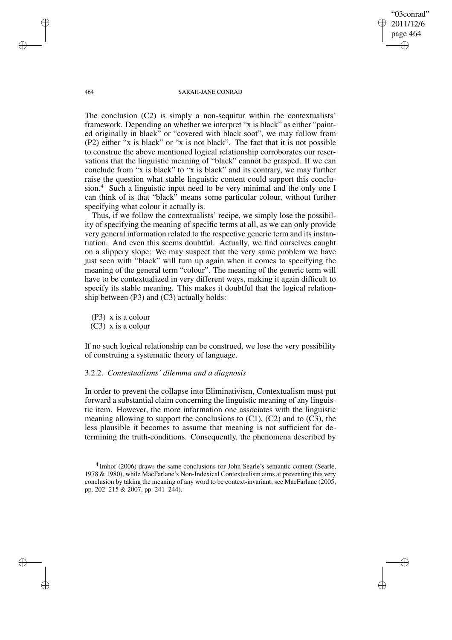"03conrad" 2011/12/6 page 464 ✐ ✐

✐

✐

#### 464 SARAH-JANE CONRAD

The conclusion (C2) is simply a non-sequitur within the contextualists' framework. Depending on whether we interpret "x is black" as either "painted originally in black" or "covered with black soot", we may follow from (P2) either "x is black" or "x is not black". The fact that it is not possible to construe the above mentioned logical relationship corroborates our reservations that the linguistic meaning of "black" cannot be grasped. If we can conclude from "x is black" to "x is black" and its contrary, we may further raise the question what stable linguistic content could support this conclusion.<sup>4</sup> Such a linguistic input need to be very minimal and the only one I can think of is that "black" means some particular colour, without further specifying what colour it actually is.

Thus, if we follow the contextualists' recipe, we simply lose the possibility of specifying the meaning of specific terms at all, as we can only provide very general information related to the respective generic term and its instantiation. And even this seems doubtful. Actually, we find ourselves caught on a slippery slope: We may suspect that the very same problem we have just seen with "black" will turn up again when it comes to specifying the meaning of the general term "colour". The meaning of the generic term will have to be contextualized in very different ways, making it again difficult to specify its stable meaning. This makes it doubtful that the logical relationship between  $(P3)$  and  $(C3)$  actually holds:

(P3) x is a colour (C3) x is a colour

If no such logical relationship can be construed, we lose the very possibility of construing a systematic theory of language.

### 3.2.2. *Contextualisms' dilemma and a diagnosis*

In order to prevent the collapse into Eliminativism, Contextualism must put forward a substantial claim concerning the linguistic meaning of any linguistic item. However, the more information one associates with the linguistic meaning allowing to support the conclusions to  $(C1)$ ,  $(C2)$  and to  $(C3)$ , the less plausible it becomes to assume that meaning is not sufficient for determining the truth-conditions. Consequently, the phenomena described by

✐

✐

✐

<sup>&</sup>lt;sup>4</sup> Imhof (2006) draws the same conclusions for John Searle's semantic content (Searle, 1978 & 1980), while MacFarlane's Non-Indexical Contextualism aims at preventing this very conclusion by taking the meaning of any word to be context-invariant; see MacFarlane (2005, pp. 202–215 & 2007, pp. 241–244).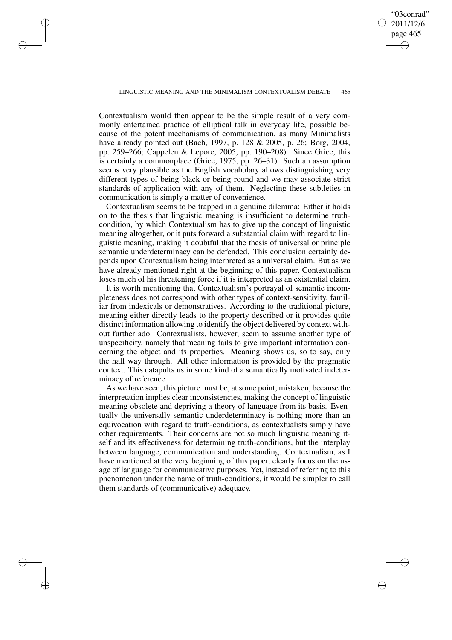✐

#### LINGUISTIC MEANING AND THE MINIMALISM CONTEXTUALISM DEBATE 465

✐

✐

✐

✐

Contextualism would then appear to be the simple result of a very commonly entertained practice of elliptical talk in everyday life, possible because of the potent mechanisms of communication, as many Minimalists have already pointed out (Bach, 1997, p. 128 & 2005, p. 26; Borg, 2004, pp. 259–266; Cappelen & Lepore, 2005, pp. 190–208). Since Grice, this is certainly a commonplace (Grice, 1975, pp. 26–31). Such an assumption seems very plausible as the English vocabulary allows distinguishing very different types of being black or being round and we may associate strict standards of application with any of them. Neglecting these subtleties in communication is simply a matter of convenience.

Contextualism seems to be trapped in a genuine dilemma: Either it holds on to the thesis that linguistic meaning is insufficient to determine truthcondition, by which Contextualism has to give up the concept of linguistic meaning altogether, or it puts forward a substantial claim with regard to linguistic meaning, making it doubtful that the thesis of universal or principle semantic underdeterminacy can be defended. This conclusion certainly depends upon Contextualism being interpreted as a universal claim. But as we have already mentioned right at the beginning of this paper, Contextualism loses much of his threatening force if it is interpreted as an existential claim.

It is worth mentioning that Contextualism's portrayal of semantic incompleteness does not correspond with other types of context-sensitivity, familiar from indexicals or demonstratives. According to the traditional picture, meaning either directly leads to the property described or it provides quite distinct information allowing to identify the object delivered by context without further ado. Contextualists, however, seem to assume another type of unspecificity, namely that meaning fails to give important information concerning the object and its properties. Meaning shows us, so to say, only the half way through. All other information is provided by the pragmatic context. This catapults us in some kind of a semantically motivated indeterminacy of reference.

As we have seen, this picture must be, at some point, mistaken, because the interpretation implies clear inconsistencies, making the concept of linguistic meaning obsolete and depriving a theory of language from its basis. Eventually the universally semantic underdeterminacy is nothing more than an equivocation with regard to truth-conditions, as contextualists simply have other requirements. Their concerns are not so much linguistic meaning itself and its effectiveness for determining truth-conditions, but the interplay between language, communication and understanding. Contextualism, as I have mentioned at the very beginning of this paper, clearly focus on the usage of language for communicative purposes. Yet, instead of referring to this phenomenon under the name of truth-conditions, it would be simpler to call them standards of (communicative) adequacy.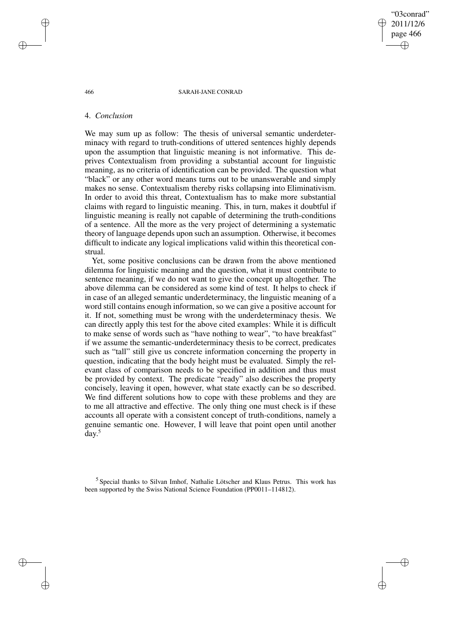"03conrad" 2011/12/6 page 466 ✐ ✐

✐

✐

#### 466 SARAH-JANE CONRAD

## 4. *Conclusion*

We may sum up as follow: The thesis of universal semantic underdeterminacy with regard to truth-conditions of uttered sentences highly depends upon the assumption that linguistic meaning is not informative. This deprives Contextualism from providing a substantial account for linguistic meaning, as no criteria of identification can be provided. The question what "black" or any other word means turns out to be unanswerable and simply makes no sense. Contextualism thereby risks collapsing into Eliminativism. In order to avoid this threat, Contextualism has to make more substantial claims with regard to linguistic meaning. This, in turn, makes it doubtful if linguistic meaning is really not capable of determining the truth-conditions of a sentence. All the more as the very project of determining a systematic theory of language depends upon such an assumption. Otherwise, it becomes difficult to indicate any logical implications valid within this theoretical construal.

Yet, some positive conclusions can be drawn from the above mentioned dilemma for linguistic meaning and the question, what it must contribute to sentence meaning, if we do not want to give the concept up altogether. The above dilemma can be considered as some kind of test. It helps to check if in case of an alleged semantic underdeterminacy, the linguistic meaning of a word still contains enough information, so we can give a positive account for it. If not, something must be wrong with the underdeterminacy thesis. We can directly apply this test for the above cited examples: While it is difficult to make sense of words such as "have nothing to wear", "to have breakfast" if we assume the semantic-underdeterminacy thesis to be correct, predicates such as "tall" still give us concrete information concerning the property in question, indicating that the body height must be evaluated. Simply the relevant class of comparison needs to be specified in addition and thus must be provided by context. The predicate "ready" also describes the property concisely, leaving it open, however, what state exactly can be so described. We find different solutions how to cope with these problems and they are to me all attractive and effective. The only thing one must check is if these accounts all operate with a consistent concept of truth-conditions, namely a genuine semantic one. However, I will leave that point open until another day. 5

<sup>5</sup> Special thanks to Silvan Imhof, Nathalie Lötscher and Klaus Petrus. This work has been supported by the Swiss National Science Foundation (PP0011–114812).

✐

✐

✐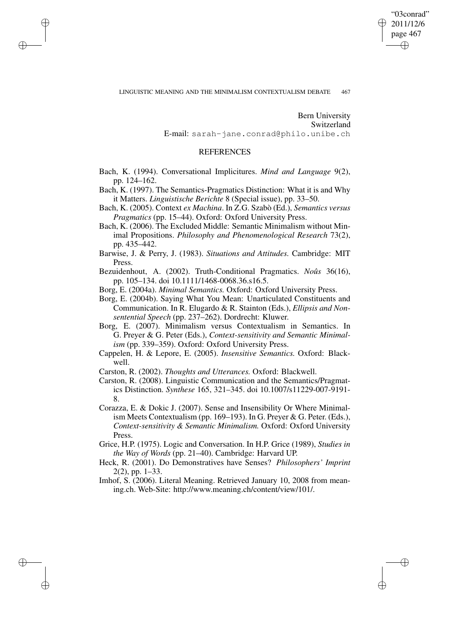✐

#### LINGUISTIC MEANING AND THE MINIMALISM CONTEXTUALISM DEBATE 467

✐

✐

✐

✐

Bern University Switzerland

E-mail: sarah-jane.conrad@philo.unibe.ch

# **REFERENCES**

Bach, K. (1994). Conversational Implicitures. *Mind and Language* 9(2), pp. 124–162.

Bach, K. (1997). The Semantics-Pragmatics Distinction: What it is and Why it Matters. *Linguistische Berichte* 8 (Special issue), pp. 33–50.

Bach, K. (2005). Context *ex Machina*. In Z.G. Szabò (Ed.), *Semantics versus Pragmatics* (pp. 15–44). Oxford: Oxford University Press.

Bach, K. (2006). The Excluded Middle: Semantic Minimalism without Minimal Propositions. *Philosophy and Phenomenological Research* 73(2), pp. 435–442.

Barwise, J. & Perry, J. (1983). *Situations and Attitudes.* Cambridge: MIT Press.

Bezuidenhout, A. (2002). Truth-Conditional Pragmatics. *Noûs* 36(16), pp. 105–134. doi 10.1111/1468-0068.36.s16.5.

- Borg, E. (2004a). *Minimal Semantics.* Oxford: Oxford University Press.
- Borg, E. (2004b). Saying What You Mean: Unarticulated Constituents and Communication. In R. Elugardo & R. Stainton (Eds.), *Ellipsis and Nonsentential Speech* (pp. 237–262). Dordrecht: Kluwer.
- Borg, E. (2007). Minimalism versus Contextualism in Semantics. In G. Preyer & G. Peter (Eds.), *Context-sensitivity and Semantic Minimalism* (pp. 339–359). Oxford: Oxford University Press.
- Cappelen, H. & Lepore, E. (2005). *Insensitive Semantics.* Oxford: Blackwell.
- Carston, R. (2002). *Thoughts and Utterances.* Oxford: Blackwell.
- Carston, R. (2008). Linguistic Communication and the Semantics/Pragmatics Distinction. *Synthese* 165, 321–345. doi 10.1007/s11229-007-9191- 8.

Corazza, E. & Dokic J. (2007). Sense and Insensibility Or Where Minimalism Meets Contextualism (pp. 169–193). In G. Preyer & G. Peter. (Eds.), *Context-sensitivity & Semantic Minimalism.* Oxford: Oxford University Press.

- Grice, H.P. (1975). Logic and Conversation. In H.P. Grice (1989), *Studies in the Way of Words* (pp. 21–40). Cambridge: Harvard UP.
- Heck, R. (2001). Do Demonstratives have Senses? *Philosophers' Imprint* 2(2), pp. 1–33.
- Imhof, S. (2006). Literal Meaning. Retrieved January 10, 2008 from meaning.ch. Web-Site: http://www.meaning.ch/content/view/101/.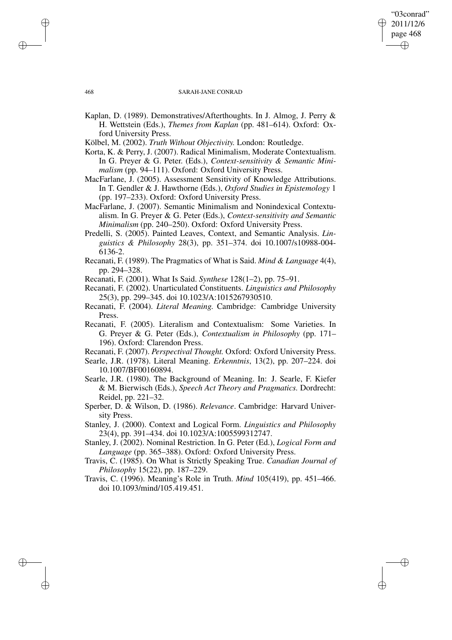### "03conrad" 2011/12/6 page 468 ✐ ✐

✐

✐

### 468 SARAH-JANE CONRAD

- Kaplan, D. (1989). Demonstratives/Afterthoughts. In J. Almog, J. Perry & H. Wettstein (Eds.), *Themes from Kaplan* (pp. 481–614). Oxford: Oxford University Press.
- Kölbel, M. (2002). *Truth Without Objectivity.* London: Routledge.
- Korta, K. & Perry, J. (2007). Radical Minimalism, Moderate Contextualism. In G. Preyer & G. Peter. (Eds.), *Context-sensitivity & Semantic Minimalism* (pp. 94–111). Oxford: Oxford University Press.
- MacFarlane, J. (2005). Assessment Sensitivity of Knowledge Attributions. In T. Gendler & J. Hawthorne (Eds.), *Oxford Studies in Epistemology* 1 (pp. 197–233). Oxford: Oxford University Press.
- MacFarlane, J. (2007). Semantic Minimalism and Nonindexical Contextualism. In G. Preyer & G. Peter (Eds.), *Context-sensitivity and Semantic Minimalism* (pp. 240–250). Oxford: Oxford University Press.
- Predelli, S. (2005). Painted Leaves, Context, and Semantic Analysis. *Linguistics & Philosophy* 28(3), pp. 351–374. doi 10.1007/s10988-004- 6136-2.
- Recanati, F. (1989). The Pragmatics of What is Said. *Mind & Language* 4(4), pp. 294–328.
- Recanati, F. (2001). What Is Said. *Synthese* 128(1–2), pp. 75–91.
- Recanati, F. (2002). Unarticulated Constituents. *Linguistics and Philosophy* 25(3), pp. 299–345. doi 10.1023/A:1015267930510.
- Recanati, F. (2004). *Literal Meaning.* Cambridge: Cambridge University Press.
- Recanati, F. (2005). Literalism and Contextualism: Some Varieties. In G. Preyer & G. Peter (Eds.), *Contextualism in Philosophy* (pp. 171– 196). Oxford: Clarendon Press.
- Recanati, F. (2007). *Perspectival Thought.* Oxford: Oxford University Press.
- Searle, J.R. (1978). Literal Meaning. *Erkenntnis*, 13(2), pp. 207–224. doi 10.1007/BF00160894.
- Searle, J.R. (1980). The Background of Meaning. In: J. Searle, F. Kiefer & M. Bierwisch (Eds.), *Speech Act Theory and Pragmatics.* Dordrecht: Reidel, pp. 221–32.
- Sperber, D. & Wilson, D. (1986). *Relevance*. Cambridge: Harvard University Press.
- Stanley, J. (2000). Context and Logical Form. *Linguistics and Philosophy* 23(4), pp. 391–434. doi 10.1023/A:1005599312747.
- Stanley, J. (2002). Nominal Restriction. In G. Peter (Ed.), *Logical Form and Language* (pp. 365–388). Oxford: Oxford University Press.
- Travis, C. (1985). On What is Strictly Speaking True. *Canadian Journal of Philosophy* 15(22), pp. 187–229.
- Travis, C. (1996). Meaning's Role in Truth. *Mind* 105(419), pp. 451–466. doi 10.1093/mind/105.419.451.

✐

✐

✐